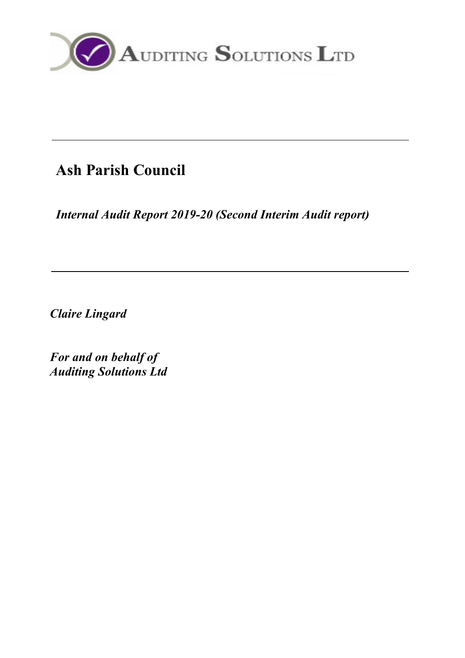

# **Ash Parish Council**

*Internal Audit Report 2019-20 (Second Interim Audit report)*

*Claire Lingard*

*For and on behalf of Auditing Solutions Ltd*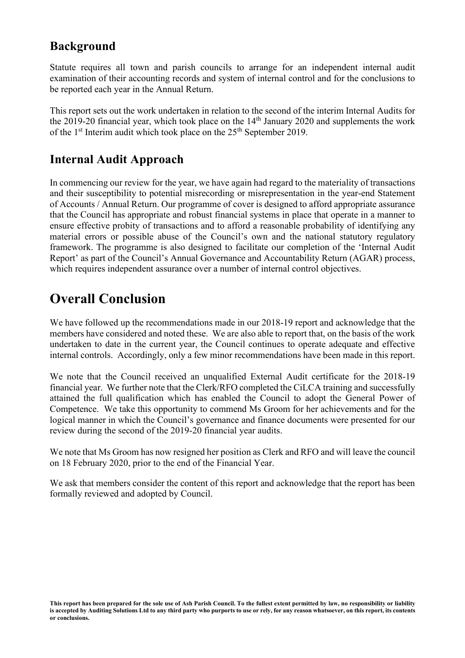### **Background**

Statute requires all town and parish councils to arrange for an independent internal audit examination of their accounting records and system of internal control and for the conclusions to be reported each year in the Annual Return.

This report sets out the work undertaken in relation to the second of the interim Internal Audits for the 2019-20 financial year, which took place on the  $14<sup>th</sup>$  January 2020 and supplements the work of the  $1<sup>st</sup>$  Interim audit which took place on the  $25<sup>th</sup>$  September 2019.

### **Internal Audit Approach**

In commencing our review for the year, we have again had regard to the materiality of transactions and their susceptibility to potential misrecording or misrepresentation in the year-end Statement of Accounts / Annual Return. Our programme of cover is designed to afford appropriate assurance that the Council has appropriate and robust financial systems in place that operate in a manner to ensure effective probity of transactions and to afford a reasonable probability of identifying any material errors or possible abuse of the Council's own and the national statutory regulatory framework. The programme is also designed to facilitate our completion of the 'Internal Audit Report' as part of the Council's Annual Governance and Accountability Return (AGAR) process, which requires independent assurance over a number of internal control objectives.

## **Overall Conclusion**

We have followed up the recommendations made in our 2018-19 report and acknowledge that the members have considered and noted these. We are also able to report that, on the basis of the work undertaken to date in the current year, the Council continues to operate adequate and effective internal controls. Accordingly, only a few minor recommendations have been made in this report.

We note that the Council received an unqualified External Audit certificate for the 2018-19 financial year. We further note that the Clerk/RFO completed the CiLCA training and successfully attained the full qualification which has enabled the Council to adopt the General Power of Competence. We take this opportunity to commend Ms Groom for her achievements and for the logical manner in which the Council's governance and finance documents were presented for our review during the second of the 2019-20 financial year audits.

We note that Ms Groom has now resigned her position as Clerk and RFO and will leave the council on 18 February 2020, prior to the end of the Financial Year.

We ask that members consider the content of this report and acknowledge that the report has been formally reviewed and adopted by Council.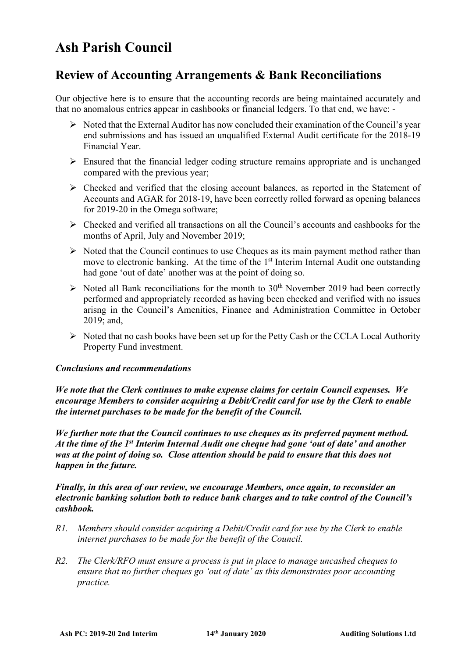## **Ash Parish Council**

### **Review of Accounting Arrangements & Bank Reconciliations**

Our objective here is to ensure that the accounting records are being maintained accurately and that no anomalous entries appear in cashbooks or financial ledgers. To that end, we have: -

- $\triangleright$  Noted that the External Auditor has now concluded their examination of the Council's year end submissions and has issued an unqualified External Audit certificate for the 2018-19 Financial Year.
- $\triangleright$  Ensured that the financial ledger coding structure remains appropriate and is unchanged compared with the previous year;
- $\triangleright$  Checked and verified that the closing account balances, as reported in the Statement of Accounts and AGAR for 2018-19, have been correctly rolled forward as opening balances for 2019-20 in the Omega software;
- Checked and verified all transactions on all the Council's accounts and cashbooks for the months of April, July and November 2019;
- $\triangleright$  Noted that the Council continues to use Cheques as its main payment method rather than move to electronic banking. At the time of the 1<sup>st</sup> Interim Internal Audit one outstanding had gone 'out of date' another was at the point of doing so.
- $\triangleright$  Noted all Bank reconciliations for the month to 30<sup>th</sup> November 2019 had been correctly performed and appropriately recorded as having been checked and verified with no issues arisng in the Council's Amenities, Finance and Administration Committee in October 2019; and,
- $\triangleright$  Noted that no cash books have been set up for the Petty Cash or the CCLA Local Authority Property Fund investment.

#### *Conclusions and recommendations*

*We note that the Clerk continues to make expense claims for certain Council expenses. We encourage Members to consider acquiring a Debit/Credit card for use by the Clerk to enable the internet purchases to be made for the benefit of the Council.*

*We further note that the Council continues to use cheques as its preferred payment method. At the time of the 1st Interim Internal Audit one cheque had gone 'out of date' and another was at the point of doing so. Close attention should be paid to ensure that this does not happen in the future.* 

*Finally, in this area of our review, we encourage Members, once again, to reconsider an electronic banking solution both to reduce bank charges and to take control of the Council's cashbook.*

- *R1. Members should consider acquiring a Debit/Credit card for use by the Clerk to enable internet purchases to be made for the benefit of the Council.*
- *R2. The Clerk/RFO must ensure a process is put in place to manage uncashed cheques to ensure that no further cheques go 'out of date' as this demonstrates poor accounting practice.*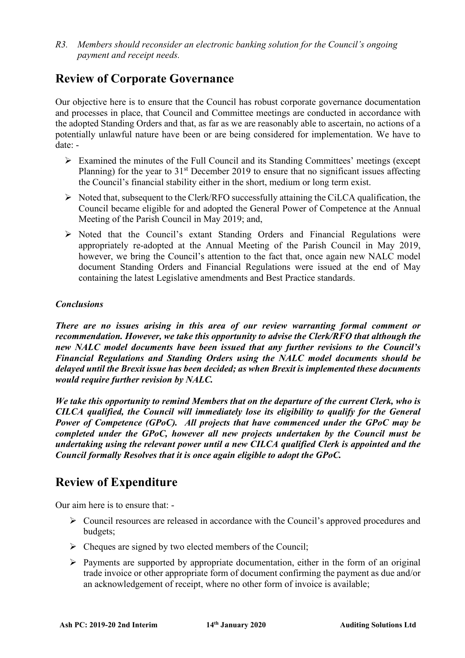*R3. Members should reconsider an electronic banking solution for the Council's ongoing payment and receipt needs.*

### **Review of Corporate Governance**

Our objective here is to ensure that the Council has robust corporate governance documentation and processes in place, that Council and Committee meetings are conducted in accordance with the adopted Standing Orders and that, as far as we are reasonably able to ascertain, no actions of a potentially unlawful nature have been or are being considered for implementation. We have to date: -

- $\triangleright$  Examined the minutes of the Full Council and its Standing Committees' meetings (except Planning) for the year to  $31<sup>st</sup>$  December 2019 to ensure that no significant issues affecting the Council's financial stability either in the short, medium or long term exist.
- $\triangleright$  Noted that, subsequent to the Clerk/RFO successfully attaining the CiLCA qualification, the Council became eligible for and adopted the General Power of Competence at the Annual Meeting of the Parish Council in May 2019; and,
- $\triangleright$  Noted that the Council's extant Standing Orders and Financial Regulations were appropriately re-adopted at the Annual Meeting of the Parish Council in May 2019, however, we bring the Council's attention to the fact that, once again new NALC model document Standing Orders and Financial Regulations were issued at the end of May containing the latest Legislative amendments and Best Practice standards.

#### *Conclusions*

*There are no issues arising in this area of our review warranting formal comment or recommendation. However, we take this opportunity to advise the Clerk/RFO that although the new NALC model documents have been issued that any further revisions to the Council's Financial Regulations and Standing Orders using the NALC model documents should be delayed until the Brexit issue has been decided; as when Brexit is implemented these documents would require further revision by NALC.*

*We take this opportunity to remind Members that on the departure of the current Clerk, who is CILCA qualified, the Council will immediately lose its eligibility to qualify for the General Power of Competence (GPoC). All projects that have commenced under the GPoC may be completed under the GPoC, however all new projects undertaken by the Council must be undertaking using the relevant power until a new CILCA qualified Clerk is appointed and the Council formally Resolves that it is once again eligible to adopt the GPoC.*

### **Review of Expenditure**

Our aim here is to ensure that: -

- $\triangleright$  Council resources are released in accordance with the Council's approved procedures and budgets;
- $\triangleright$  Cheques are signed by two elected members of the Council;
- $\triangleright$  Payments are supported by appropriate documentation, either in the form of an original trade invoice or other appropriate form of document confirming the payment as due and/or an acknowledgement of receipt, where no other form of invoice is available;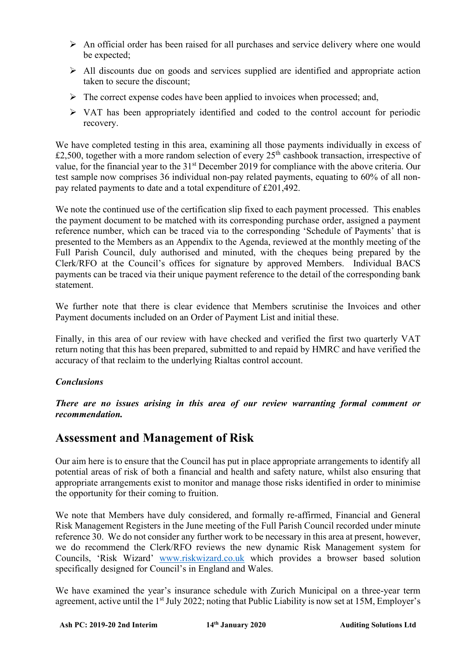- $\triangleright$  An official order has been raised for all purchases and service delivery where one would be expected;
- $\triangleright$  All discounts due on goods and services supplied are identified and appropriate action taken to secure the discount;
- $\triangleright$  The correct expense codes have been applied to invoices when processed; and,
- $\triangleright$  VAT has been appropriately identified and coded to the control account for periodic recovery.

We have completed testing in this area, examining all those payments individually in excess of £2,500, together with a more random selection of every  $25<sup>th</sup>$  cashbook transaction, irrespective of value, for the financial year to the 31<sup>st</sup> December 2019 for compliance with the above criteria. Our test sample now comprises 36 individual non-pay related payments, equating to 60% of all nonpay related payments to date and a total expenditure of £201,492.

We note the continued use of the certification slip fixed to each payment processed. This enables the payment document to be matched with its corresponding purchase order, assigned a payment reference number, which can be traced via to the corresponding 'Schedule of Payments' that is presented to the Members as an Appendix to the Agenda, reviewed at the monthly meeting of the Full Parish Council, duly authorised and minuted, with the cheques being prepared by the Clerk/RFO at the Council's offices for signature by approved Members. Individual BACS payments can be traced via their unique payment reference to the detail of the corresponding bank statement.

We further note that there is clear evidence that Members scrutinise the Invoices and other Payment documents included on an Order of Payment List and initial these.

Finally, in this area of our review with have checked and verified the first two quarterly VAT return noting that this has been prepared, submitted to and repaid by HMRC and have verified the accuracy of that reclaim to the underlying Rialtas control account.

#### *Conclusions*

*There are no issues arising in this area of our review warranting formal comment or recommendation.* 

### **Assessment and Management of Risk**

Our aim here is to ensure that the Council has put in place appropriate arrangements to identify all potential areas of risk of both a financial and health and safety nature, whilst also ensuring that appropriate arrangements exist to monitor and manage those risks identified in order to minimise the opportunity for their coming to fruition.

We note that Members have duly considered, and formally re-affirmed, Financial and General Risk Management Registers in the June meeting of the Full Parish Council recorded under minute reference 30. We do not consider any further work to be necessary in this area at present, however, we do recommend the Clerk/RFO reviews the new dynamic Risk Management system for Councils, 'Risk Wizard' [www.riskwizard.co.uk](http://www.riskwizard.co.uk/) which provides a browser based solution specifically designed for Council's in England and Wales.

We have examined the year's insurance schedule with Zurich Municipal on a three-year term agreement, active until the 1<sup>st</sup> July 2022; noting that Public Liability is now set at 15M, Employer's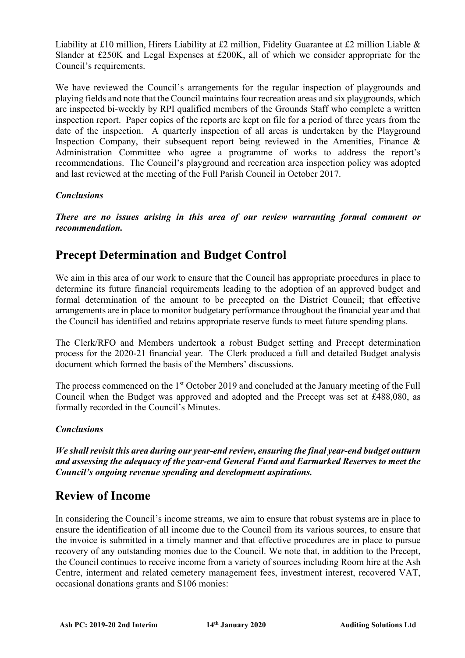Liability at £10 million, Hirers Liability at £2 million, Fidelity Guarantee at £2 million Liable & Slander at £250K and Legal Expenses at £200K, all of which we consider appropriate for the Council's requirements.

We have reviewed the Council's arrangements for the regular inspection of playgrounds and playing fields and note that the Council maintains four recreation areas and six playgrounds, which are inspected bi-weekly by RPI qualified members of the Grounds Staff who complete a written inspection report. Paper copies of the reports are kept on file for a period of three years from the date of the inspection. A quarterly inspection of all areas is undertaken by the Playground Inspection Company, their subsequent report being reviewed in the Amenities, Finance  $\&$ Administration Committee who agree a programme of works to address the report's recommendations. The Council's playground and recreation area inspection policy was adopted and last reviewed at the meeting of the Full Parish Council in October 2017.

#### *Conclusions*

*There are no issues arising in this area of our review warranting formal comment or recommendation.* 

### **Precept Determination and Budget Control**

We aim in this area of our work to ensure that the Council has appropriate procedures in place to determine its future financial requirements leading to the adoption of an approved budget and formal determination of the amount to be precepted on the District Council; that effective arrangements are in place to monitor budgetary performance throughout the financial year and that the Council has identified and retains appropriate reserve funds to meet future spending plans.

The Clerk/RFO and Members undertook a robust Budget setting and Precept determination process for the 2020-21 financial year. The Clerk produced a full and detailed Budget analysis document which formed the basis of the Members' discussions.

The process commenced on the 1<sup>st</sup> October 2019 and concluded at the January meeting of the Full Council when the Budget was approved and adopted and the Precept was set at £488,080, as formally recorded in the Council's Minutes.

#### *Conclusions*

*We shall revisit this area during our year-end review, ensuring the final year-end budget outturn and assessing the adequacy of the year-end General Fund and Earmarked Reserves to meet the Council's ongoing revenue spending and development aspirations.*

### **Review of Income**

In considering the Council's income streams, we aim to ensure that robust systems are in place to ensure the identification of all income due to the Council from its various sources, to ensure that the invoice is submitted in a timely manner and that effective procedures are in place to pursue recovery of any outstanding monies due to the Council. We note that, in addition to the Precept, the Council continues to receive income from a variety of sources including Room hire at the Ash Centre, interment and related cemetery management fees, investment interest, recovered VAT, occasional donations grants and S106 monies: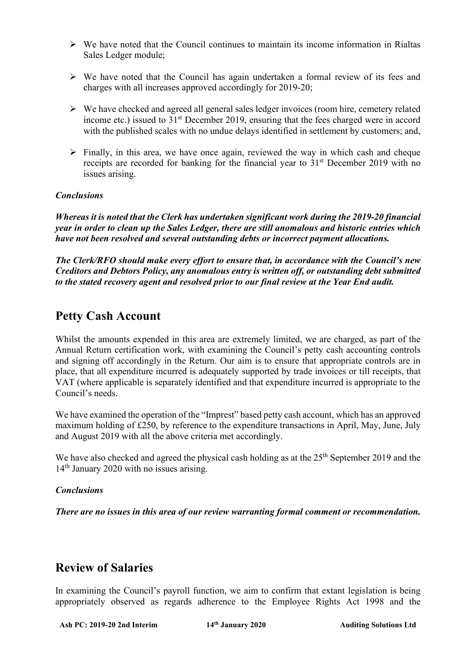- $\triangleright$  We have noted that the Council continues to maintain its income information in Rialtas Sales Ledger module;
- $\triangleright$  We have noted that the Council has again undertaken a formal review of its fees and charges with all increases approved accordingly for 2019-20;
- $\triangleright$  We have checked and agreed all general sales ledger invoices (room hire, cemetery related income etc.) issued to 31<sup>st</sup> December 2019, ensuring that the fees charged were in accord with the published scales with no undue delays identified in settlement by customers; and,
- $\triangleright$  Finally, in this area, we have once again, reviewed the way in which cash and cheque receipts are recorded for banking for the financial year to  $31<sup>st</sup>$  December 2019 with no issues arising.

#### *Conclusions*

*Whereas it is noted that the Clerk has undertaken significant work during the 2019-20 financial year in order to clean up the Sales Ledger, there are still anomalous and historic entries which have not been resolved and several outstanding debts or incorrect payment allocations.*

*The Clerk/RFO should make every effort to ensure that, in accordance with the Council's new Creditors and Debtors Policy, any anomalous entry is written off, or outstanding debt submitted to the stated recovery agent and resolved prior to our final review at the Year End audit.*

### **Petty Cash Account**

Whilst the amounts expended in this area are extremely limited, we are charged, as part of the Annual Return certification work, with examining the Council's petty cash accounting controls and signing off accordingly in the Return. Our aim is to ensure that appropriate controls are in place, that all expenditure incurred is adequately supported by trade invoices or till receipts, that VAT (where applicable is separately identified and that expenditure incurred is appropriate to the Council's needs.

We have examined the operation of the "Imprest" based petty cash account, which has an approved maximum holding of £250, by reference to the expenditure transactions in April, May, June, July and August 2019 with all the above criteria met accordingly.

We have also checked and agreed the physical cash holding as at the  $25<sup>th</sup>$  September 2019 and the 14<sup>th</sup> January 2020 with no issues arising.

#### *Conclusions*

*There are no issues in this area of our review warranting formal comment or recommendation.*

### **Review of Salaries**

In examining the Council's payroll function, we aim to confirm that extant legislation is being appropriately observed as regards adherence to the Employee Rights Act 1998 and the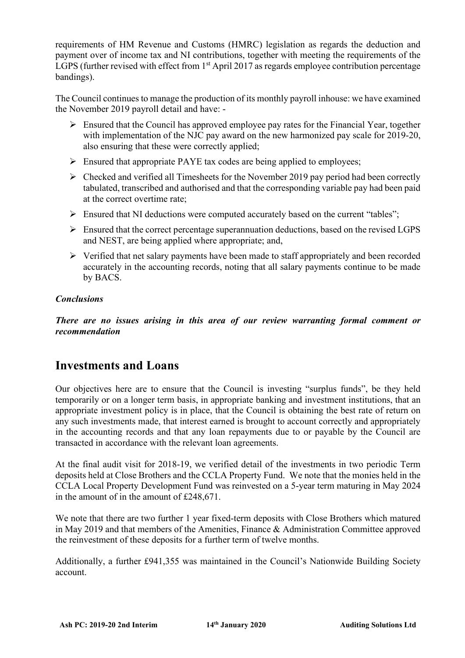requirements of HM Revenue and Customs (HMRC) legislation as regards the deduction and payment over of income tax and NI contributions, together with meeting the requirements of the LGPS (further revised with effect from  $1<sup>st</sup>$  April 2017 as regards employee contribution percentage bandings).

The Council continues to manage the production of its monthly payroll inhouse: we have examined the November 2019 payroll detail and have: -

- $\triangleright$  Ensured that the Council has approved employee pay rates for the Financial Year, together with implementation of the NJC pay award on the new harmonized pay scale for 2019-20, also ensuring that these were correctly applied;
- $\triangleright$  Ensured that appropriate PAYE tax codes are being applied to employees;
- $\triangleright$  Checked and verified all Timesheets for the November 2019 pay period had been correctly tabulated, transcribed and authorised and that the corresponding variable pay had been paid at the correct overtime rate;
- $\triangleright$  Ensured that NI deductions were computed accurately based on the current "tables";
- $\triangleright$  Ensured that the correct percentage superannuation deductions, based on the revised LGPS and NEST, are being applied where appropriate; and,
- $\triangleright$  Verified that net salary payments have been made to staff appropriately and been recorded accurately in the accounting records, noting that all salary payments continue to be made by BACS.

#### *Conclusions*

*There are no issues arising in this area of our review warranting formal comment or recommendation*

### **Investments and Loans**

Our objectives here are to ensure that the Council is investing "surplus funds", be they held temporarily or on a longer term basis, in appropriate banking and investment institutions, that an appropriate investment policy is in place, that the Council is obtaining the best rate of return on any such investments made, that interest earned is brought to account correctly and appropriately in the accounting records and that any loan repayments due to or payable by the Council are transacted in accordance with the relevant loan agreements.

At the final audit visit for 2018-19, we verified detail of the investments in two periodic Term deposits held at Close Brothers and the CCLA Property Fund. We note that the monies held in the CCLA Local Property Development Fund was reinvested on a 5-year term maturing in May 2024 in the amount of in the amount of £248,671.

We note that there are two further 1 year fixed-term deposits with Close Brothers which matured in May 2019 and that members of the Amenities, Finance & Administration Committee approved the reinvestment of these deposits for a further term of twelve months.

Additionally, a further £941,355 was maintained in the Council's Nationwide Building Society account.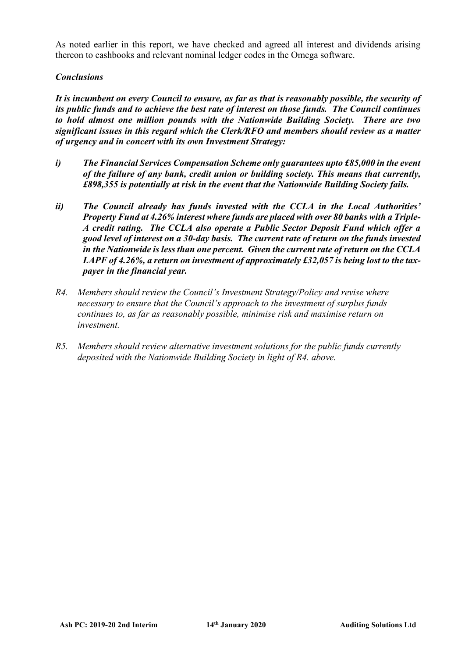As noted earlier in this report, we have checked and agreed all interest and dividends arising thereon to cashbooks and relevant nominal ledger codes in the Omega software.

#### *Conclusions*

*It is incumbent on every Council to ensure, as far as that is reasonably possible, the security of its public funds and to achieve the best rate of interest on those funds. The Council continues to hold almost one million pounds with the Nationwide Building Society. There are two significant issues in this regard which the Clerk/RFO and members should review as a matter of urgency and in concert with its own Investment Strategy:*

- *i) The Financial Services Compensation Scheme only guarantees upto £85,000 in the event of the failure of any bank, credit union or building society. This means that currently, £898,355 is potentially at risk in the event that the Nationwide Building Society fails.*
- *ii) The Council already has funds invested with the CCLA in the Local Authorities' Property Fund at 4.26% interest where funds are placed with over 80 banks with a Triple-A credit rating. The CCLA also operate a Public Sector Deposit Fund which offer a good level of interest on a 30-day basis. The current rate of return on the funds invested in the Nationwide is less than one percent. Given the current rate of return on the CCLA LAPF of 4.26%, a return on investment of approximately £32,057 is being lost to the taxpayer in the financial year.*
- *R4. Members should review the Council's Investment Strategy/Policy and revise where necessary to ensure that the Council's approach to the investment of surplus funds continues to, as far as reasonably possible, minimise risk and maximise return on investment.*
- *R5. Members should review alternative investment solutions for the public funds currently deposited with the Nationwide Building Society in light of R4. above.*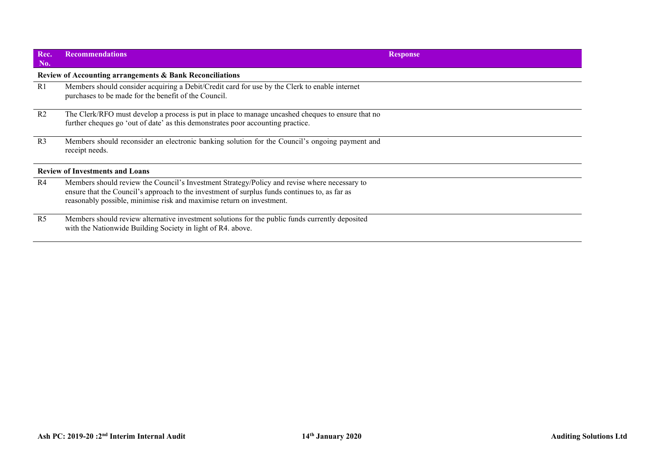| Rec.<br>No.                            | <b>Recommendations</b>                                                                                                                                                                                                                                                 | <b>Response</b> |  |  |  |
|----------------------------------------|------------------------------------------------------------------------------------------------------------------------------------------------------------------------------------------------------------------------------------------------------------------------|-----------------|--|--|--|
|                                        | Review of Accounting arrangements & Bank Reconciliations                                                                                                                                                                                                               |                 |  |  |  |
| R1                                     | Members should consider acquiring a Debit/Credit card for use by the Clerk to enable internet<br>purchases to be made for the benefit of the Council.                                                                                                                  |                 |  |  |  |
| R <sub>2</sub>                         | The Clerk/RFO must develop a process is put in place to manage uncashed cheques to ensure that no<br>further cheques go 'out of date' as this demonstrates poor accounting practice.                                                                                   |                 |  |  |  |
| R <sub>3</sub>                         | Members should reconsider an electronic banking solution for the Council's ongoing payment and<br>receipt needs.                                                                                                                                                       |                 |  |  |  |
| <b>Review of Investments and Loans</b> |                                                                                                                                                                                                                                                                        |                 |  |  |  |
| R4                                     | Members should review the Council's Investment Strategy/Policy and revise where necessary to<br>ensure that the Council's approach to the investment of surplus funds continues to, as far as<br>reasonably possible, minimise risk and maximise return on investment. |                 |  |  |  |
| R <sub>5</sub>                         | Members should review alternative investment solutions for the public funds currently deposited<br>with the Nationwide Building Society in light of R4. above.                                                                                                         |                 |  |  |  |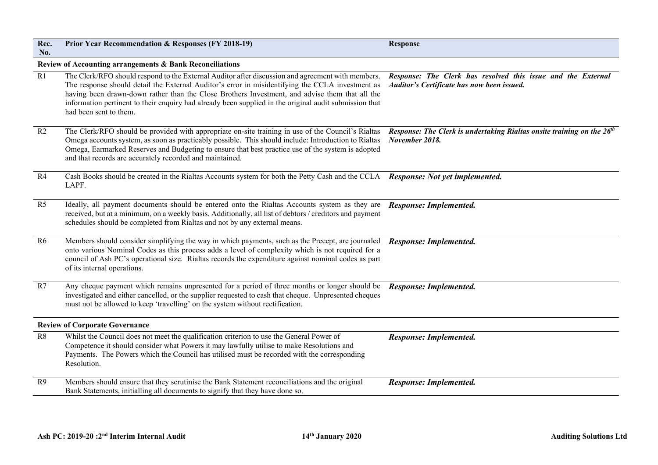| Rec.                                                     | <b>Prior Year Recommendation &amp; Responses (FY 2018-19)</b>                                                                                                                                                                                                                                                                                                                                                                               | <b>Response</b>                                                                                            |  |  |
|----------------------------------------------------------|---------------------------------------------------------------------------------------------------------------------------------------------------------------------------------------------------------------------------------------------------------------------------------------------------------------------------------------------------------------------------------------------------------------------------------------------|------------------------------------------------------------------------------------------------------------|--|--|
| No.                                                      |                                                                                                                                                                                                                                                                                                                                                                                                                                             |                                                                                                            |  |  |
| Review of Accounting arrangements & Bank Reconciliations |                                                                                                                                                                                                                                                                                                                                                                                                                                             |                                                                                                            |  |  |
| R1                                                       | The Clerk/RFO should respond to the External Auditor after discussion and agreement with members.<br>The response should detail the External Auditor's error in misidentifying the CCLA investment as<br>having been drawn-down rather than the Close Brothers Investment, and advise them that all the<br>information pertinent to their enquiry had already been supplied in the original audit submission that<br>had been sent to them. | Response: The Clerk has resolved this issue and the External<br>Auditor's Certificate has now been issued. |  |  |
| R2                                                       | The Clerk/RFO should be provided with appropriate on-site training in use of the Council's Rialtas<br>Omega accounts system, as soon as practicably possible. This should include: Introduction to Rialtas<br>Omega, Earmarked Reserves and Budgeting to ensure that best practice use of the system is adopted<br>and that records are accurately recorded and maintained.                                                                 | Response: The Clerk is undertaking Rialtas onsite training on the 26 <sup>th</sup><br>November 2018.       |  |  |
| R4                                                       | Cash Books should be created in the Rialtas Accounts system for both the Petty Cash and the CCLA<br>LAPF.                                                                                                                                                                                                                                                                                                                                   | Response: Not yet implemented.                                                                             |  |  |
| R <sub>5</sub>                                           | Ideally, all payment documents should be entered onto the Rialtas Accounts system as they are<br>received, but at a minimum, on a weekly basis. Additionally, all list of debtors / creditors and payment<br>schedules should be completed from Rialtas and not by any external means.                                                                                                                                                      | Response: Implemented.                                                                                     |  |  |
| R <sub>6</sub>                                           | Members should consider simplifying the way in which payments, such as the Precept, are journaled<br>onto various Nominal Codes as this process adds a level of complexity which is not required for a<br>council of Ash PC's operational size. Rialtas records the expenditure against nominal codes as part<br>of its internal operations.                                                                                                | Response: Implemented.                                                                                     |  |  |
| R7                                                       | Any cheque payment which remains unpresented for a period of three months or longer should be<br>investigated and either cancelled, or the supplier requested to cash that cheque. Unpresented cheques<br>must not be allowed to keep 'travelling' on the system without rectification.                                                                                                                                                     | Response: Implemented.                                                                                     |  |  |
| <b>Review of Corporate Governance</b>                    |                                                                                                                                                                                                                                                                                                                                                                                                                                             |                                                                                                            |  |  |
| R8                                                       | Whilst the Council does not meet the qualification criterion to use the General Power of<br>Competence it should consider what Powers it may lawfully utilise to make Resolutions and<br>Payments. The Powers which the Council has utilised must be recorded with the corresponding<br>Resolution.                                                                                                                                         | Response: Implemented.                                                                                     |  |  |
| R9                                                       | Members should ensure that they scrutinise the Bank Statement reconciliations and the original<br>Bank Statements, initialling all documents to signify that they have done so.                                                                                                                                                                                                                                                             | Response: Implemented.                                                                                     |  |  |